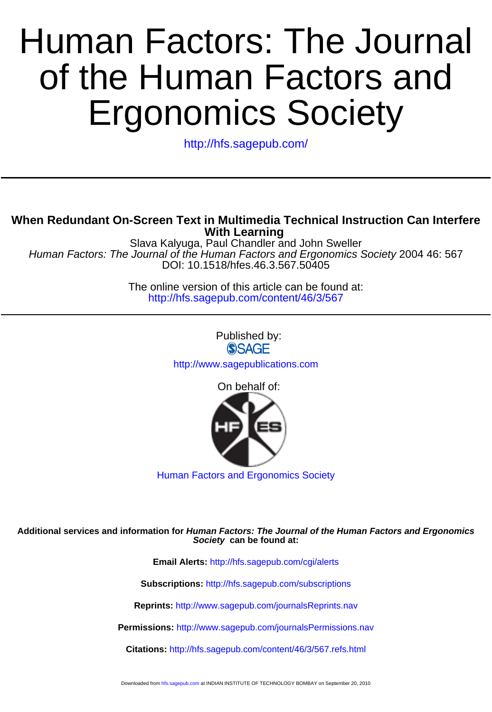# Ergonomics Society of the Human Factors and Human Factors: The Journal

<http://hfs.sagepub.com/>

# **With Learning When Redundant On-Screen Text in Multimedia Technical Instruction Can Interfere**

DOI: 10.1518/hfes.46.3.567.50405 Human Factors: The Journal of the Human Factors and Ergonomics Society 2004 46: 567 Slava Kalyuga, Paul Chandler and John Sweller

> <http://hfs.sagepub.com/content/46/3/567> The online version of this article can be found at:

> > Published by: **SSAGE** <http://www.sagepublications.com>

> > > On behalf of:



[Human Factors and Ergonomics Society](http://www.hfes.org)

#### **Society can be found at: Additional services and information for Human Factors: The Journal of the Human Factors and Ergonomics**

**Email Alerts:** <http://hfs.sagepub.com/cgi/alerts>

**Subscriptions:** <http://hfs.sagepub.com/subscriptions>

**Reprints:** <http://www.sagepub.com/journalsReprints.nav>

**Permissions:** <http://www.sagepub.com/journalsPermissions.nav>

**Citations:** <http://hfs.sagepub.com/content/46/3/567.refs.html>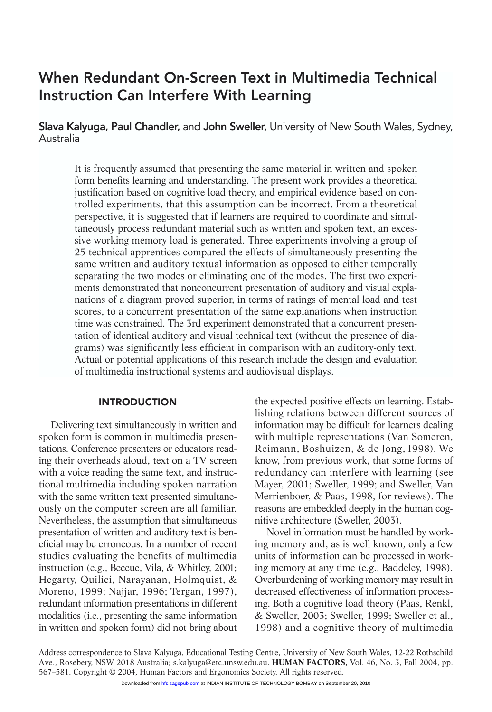# When Redundant On-Screen Text in Multimedia Technical Instruction Can Interfere With Learning

Slava Kalyuga, Paul Chandler, and John Sweller, University of New South Wales, Sydney, Australia

It is frequently assumed that presenting the same material in written and spoken form benefits learning and understanding. The present work provides a theoretical justification based on cognitive load theory, and empirical evidence based on controlled experiments, that this assumption can be incorrect. From a theoretical perspective, it is suggested that if learners are required to coordinate and simultaneously process redundant material such as written and spoken text, an excessive working memory load is generated. Three experiments involving a group of 25 technical apprentices compared the effects of simultaneously presenting the same written and auditory textual information as opposed to either temporally separating the two modes or eliminating one of the modes. The first two experiments demonstrated that nonconcurrent presentation of auditory and visual explanations of a diagram proved superior, in terms of ratings of mental load and test scores, to a concurrent presentation of the same explanations when instruction time was constrained. The 3rd experiment demonstrated that a concurrent presentation of identical auditory and visual technical text (without the presence of diagrams) was significantly less efficient in comparison with an auditory-only text. Actual or potential applications of this research include the design and evaluation of multimedia instructional systems and audiovisual displays.

# **INTRODUCTION**

Delivering text simultaneously in written and spoken form is common in multimedia presentations. Conference presenters or educators reading their overheads aloud, text on a TV screen with a voice reading the same text, and instructional multimedia including spoken narration with the same written text presented simultaneously on the computer screen are all familiar. Nevertheless, the assumption that simultaneous presentation of written and auditory text is beneficial may be erroneous. In a number of recent studies evaluating the benefits of multimedia instruction (e.g., Beccue, Vila, & Whitley, 2001; Hegarty, Quilici, Narayanan, Holmquist, & Moreno, 1999; Najjar, 1996; Tergan, 1997), redundant information presentations in different modalities (i.e., presenting the same information in written and spoken form) did not bring about

the expected positive effects on learning. Establishing relations between different sources of information may be difficult for learners dealing with multiple representations (Van Someren, Reimann, Boshuizen, & de Jong, 1998). We know, from previous work, that some forms of redundancy can interfere with learning (see Mayer, 2001; Sweller, 1999; and Sweller, Van Merrienboer, & Paas, 1998, for reviews). The reasons are embedded deeply in the human cognitive architecture (Sweller, 2003).

Novel information must be handled by working memory and, as is well known, only a few units of information can be processed in working memory at any time (e.g., Baddeley, 1998). Overburdening of working memory may result in decreased effectiveness of information processing. Both a cognitive load theory (Paas, Renkl, & Sweller, 2003; Sweller, 1999; Sweller et al., 1998) and a cognitive theory of multimedia

Address correspondence to Slava Kalyuga, Educational Testing Centre, University of New South Wales, 12-22 Rothschild Ave., Rosebery, NSW 2018 Australia; s.kalyuga@etc.unsw.edu.au. **HUMAN FACTORS,** Vol. 46, No. 3, Fall 2004, pp. 567–581. Copyright © 2004, Human Factors and Ergonomics Society. All rights reserved.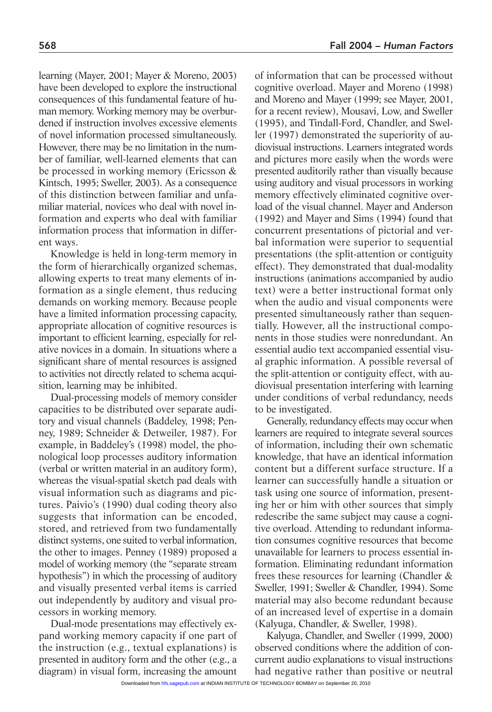learning (Mayer, 2001; Mayer & Moreno, 2003) have been developed to explore the instructional consequences of this fundamental feature of human memory. Working memory may be overburdened if instruction involves excessive elements of novel information processed simultaneously. However, there may be no limitation in the number of familiar, well-learned elements that can be processed in working memory (Ericsson & Kintsch, 1995; Sweller, 2003). As a consequence of this distinction between familiar and unfamiliar material, novices who deal with novel information and experts who deal with familiar information process that information in different ways.

Knowledge is held in long-term memory in the form of hierarchically organized schemas, allowing experts to treat many elements of information as a single element, thus reducing demands on working memory. Because people have a limited information processing capacity, appropriate allocation of cognitive resources is important to efficient learning, especially for relative novices in a domain. In situations where a significant share of mental resources is assigned to activities not directly related to schema acquisition, learning may be inhibited.

Dual-processing models of memory consider capacities to be distributed over separate auditory and visual channels (Baddeley, 1998; Penney, 1989; Schneider & Detweiler, 1987). For example, in Baddeley's (1998) model, the phonological loop processes auditory information (verbal or written material in an auditory form), whereas the visual-spatial sketch pad deals with visual information such as diagrams and pictures. Paivio's (1990) dual coding theory also suggests that information can be encoded, stored, and retrieved from two fundamentally distinct systems, one suited to verbal information, the other to images. Penney (1989) proposed a model of working memory (the "separate stream hypothesis") in which the processing of auditory and visually presented verbal items is carried out independently by auditory and visual processors in working memory.

Dual-mode presentations may effectively expand working memory capacity if one part of the instruction (e.g., textual explanations) is presented in auditory form and the other (e.g., a diagram) in visual form, increasing the amount of information that can be processed without cognitive overload. Mayer and Moreno (1998) and Moreno and Mayer (1999; see Mayer, 2001, for a recent review), Mousavi, Low, and Sweller (1995), and Tindall-Ford, Chandler, and Sweller (1997) demonstrated the superiority of audiovisual instructions. Learners integrated words and pictures more easily when the words were presented auditorily rather than visually because using auditory and visual processors in working memory effectively eliminated cognitive overload of the visual channel. Mayer and Anderson (1992) and Mayer and Sims (1994) found that concurrent presentations of pictorial and verbal information were superior to sequential presentations (the split-attention or contiguity effect). They demonstrated that dual-modality instructions (animations accompanied by audio text) were a better instructional format only when the audio and visual components were presented simultaneously rather than sequentially. However, all the instructional components in those studies were nonredundant. An essential audio text accompanied essential visual graphic information. A possible reversal of the split-attention or contiguity effect, with audiovisual presentation interfering with learning under conditions of verbal redundancy, needs to be investigated.

Generally, redundancy effects may occur when learners are required to integrate several sources of information, including their own schematic knowledge, that have an identical information content but a different surface structure. If a learner can successfully handle a situation or task using one source of information, presenting her or him with other sources that simply redescribe the same subject may cause a cognitive overload. Attending to redundant information consumes cognitive resources that become unavailable for learners to process essential information. Eliminating redundant information frees these resources for learning (Chandler & Sweller, 1991; Sweller & Chandler, 1994). Some material may also become redundant because of an increased level of expertise in a domain (Kalyuga, Chandler, & Sweller, 1998).

Kalyuga, Chandler, and Sweller (1999, 2000) observed conditions where the addition of concurrent audio explanations to visual instructions had negative rather than positive or neutral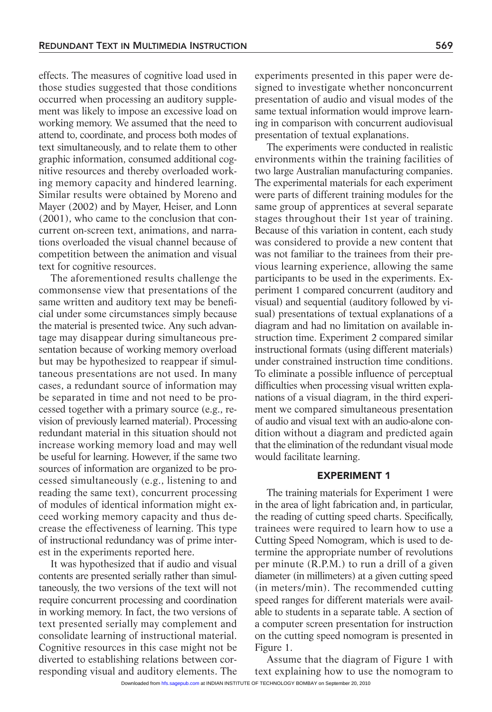effects. The measures of cognitive load used in those studies suggested that those conditions occurred when processing an auditory supplement was likely to impose an excessive load on working memory. We assumed that the need to attend to, coordinate, and process both modes of text simultaneously, and to relate them to other graphic information, consumed additional cognitive resources and thereby overloaded working memory capacity and hindered learning. Similar results were obtained by Moreno and Mayer (2002) and by Mayer, Heiser, and Lonn (2001), who came to the conclusion that concurrent on-screen text, animations, and narrations overloaded the visual channel because of competition between the animation and visual text for cognitive resources.

The aforementioned results challenge the commonsense view that presentations of the same written and auditory text may be beneficial under some circumstances simply because the material is presented twice. Any such advantage may disappear during simultaneous presentation because of working memory overload but may be hypothesized to reappear if simultaneous presentations are not used. In many cases, a redundant source of information may be separated in time and not need to be processed together with a primary source (e.g., revision of previously learned material). Processing redundant material in this situation should not increase working memory load and may well be useful for learning. However, if the same two sources of information are organized to be processed simultaneously (e.g., listening to and reading the same text), concurrent processing of modules of identical information might exceed working memory capacity and thus decrease the effectiveness of learning. This type of instructional redundancy was of prime interest in the experiments reported here.

It was hypothesized that if audio and visual contents are presented serially rather than simultaneously, the two versions of the text will not require concurrent processing and coordination in working memory. In fact, the two versions of text presented serially may complement and consolidate learning of instructional material. Cognitive resources in this case might not be diverted to establishing relations between corresponding visual and auditory elements. The experiments presented in this paper were designed to investigate whether nonconcurrent presentation of audio and visual modes of the same textual information would improve learning in comparison with concurrent audiovisual presentation of textual explanations.

The experiments were conducted in realistic environments within the training facilities of two large Australian manufacturing companies. The experimental materials for each experiment were parts of different training modules for the same group of apprentices at several separate stages throughout their 1st year of training. Because of this variation in content, each study was considered to provide a new content that was not familiar to the trainees from their previous learning experience, allowing the same participants to be used in the experiments. Experiment 1 compared concurrent (auditory and visual) and sequential (auditory followed by visual) presentations of textual explanations of a diagram and had no limitation on available instruction time. Experiment 2 compared similar instructional formats (using different materials) under constrained instruction time conditions. To eliminate a possible influence of perceptual difficulties when processing visual written explanations of a visual diagram, in the third experiment we compared simultaneous presentation of audio and visual text with an audio-alone condition without a diagram and predicted again that the elimination of the redundant visual mode would facilitate learning.

# EXPERIMENT 1

The training materials for Experiment 1 were in the area of light fabrication and, in particular, the reading of cutting speed charts. Specifically, trainees were required to learn how to use a Cutting Speed Nomogram, which is used to determine the appropriate number of revolutions per minute (R.P.M.) to run a drill of a given diameter (in millimeters) at a given cutting speed (in meters/min). The recommended cutting speed ranges for different materials were available to students in a separate table. A section of a computer screen presentation for instruction on the cutting speed nomogram is presented in Figure 1.

Assume that the diagram of Figure 1 with text explaining how to use the nomogram to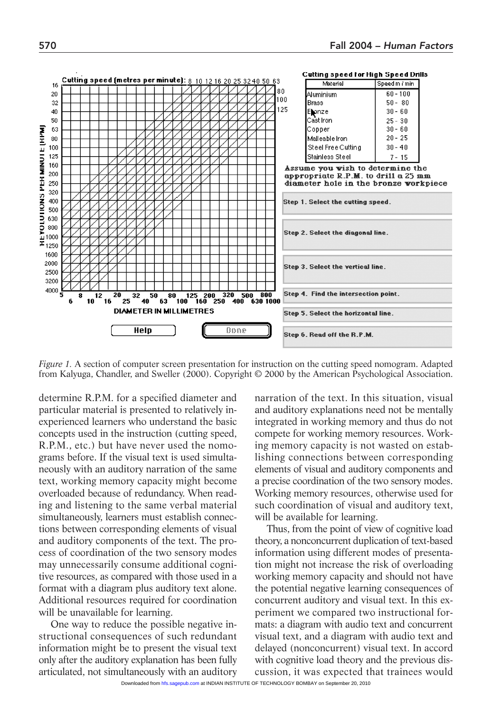

*Figure 1.* A section of computer screen presentation for instruction on the cutting speed nomogram. Adapted from Kalyuga, Chandler, and Sweller (2000). Copyright © 2000 by the American Psychological Association.

determine R.P.M. for a specified diameter and particular material is presented to relatively inexperienced learners who understand the basic concepts used in the instruction (cutting speed, R.P.M., etc.) but have never used the nomograms before. If the visual text is used simultaneously with an auditory narration of the same text, working memory capacity might become overloaded because of redundancy. When reading and listening to the same verbal material simultaneously, learners must establish connections between corresponding elements of visual and auditory components of the text. The process of coordination of the two sensory modes may unnecessarily consume additional cognitive resources, as compared with those used in a format with a diagram plus auditory text alone. Additional resources required for coordination will be unavailable for learning.

One way to reduce the possible negative instructional consequences of such redundant information might be to present the visual text only after the auditory explanation has been fully articulated, not simultaneously with an auditory

narration of the text. In this situation, visual and auditory explanations need not be mentally integrated in working memory and thus do not compete for working memory resources. Working memory capacity is not wasted on establishing connections between corresponding elements of visual and auditory components and a precise coordination of the two sensory modes. Working memory resources, otherwise used for such coordination of visual and auditory text, will be available for learning.

Thus, from the point of view of cognitive load theory, a nonconcurrent duplication of text-based information using different modes of presentation might not increase the risk of overloading working memory capacity and should not have the potential negative learning consequences of concurrent auditory and visual text. In this experiment we compared two instructional formats: a diagram with audio text and concurrent visual text, and a diagram with audio text and delayed (nonconcurrent) visual text. In accord with cognitive load theory and the previous discussion, it was expected that trainees would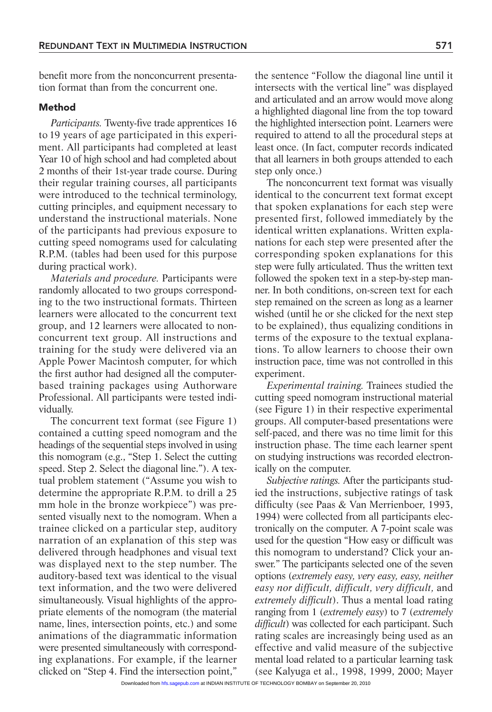benefit more from the nonconcurrent presentation format than from the concurrent one.

# Method

*Participants.* Twenty-five trade apprentices 16 to 19 years of age participated in this experiment. All participants had completed at least Year 10 of high school and had completed about 2 months of their 1st-year trade course. During their regular training courses, all participants were introduced to the technical terminology, cutting principles, and equipment necessary to understand the instructional materials. None of the participants had previous exposure to cutting speed nomograms used for calculating R.P.M. (tables had been used for this purpose during practical work).

*Materials and procedure.* Participants were randomly allocated to two groups corresponding to the two instructional formats. Thirteen learners were allocated to the concurrent text group, and 12 learners were allocated to nonconcurrent text group. All instructions and training for the study were delivered via an Apple Power Macintosh computer, for which the first author had designed all the computerbased training packages using Authorware Professional. All participants were tested individually.

The concurrent text format (see Figure 1) contained a cutting speed nomogram and the headings of the sequential steps involved in using this nomogram (e.g., "Step 1. Select the cutting speed. Step 2. Select the diagonal line."). A textual problem statement ("Assume you wish to determine the appropriate R.P.M. to drill a 25 mm hole in the bronze workpiece") was presented visually next to the nomogram. When a trainee clicked on a particular step, auditory narration of an explanation of this step was delivered through headphones and visual text was displayed next to the step number. The auditory-based text was identical to the visual text information, and the two were delivered simultaneously. Visual highlights of the appropriate elements of the nomogram (the material name, lines, intersection points, etc.) and some animations of the diagrammatic information were presented simultaneously with corresponding explanations. For example, if the learner clicked on "Step 4. Find the intersection point,"

the sentence "Follow the diagonal line until it intersects with the vertical line" was displayed and articulated and an arrow would move along a highlighted diagonal line from the top toward the highlighted intersection point. Learners were required to attend to all the procedural steps at least once. (In fact, computer records indicated that all learners in both groups attended to each step only once.)

The nonconcurrent text format was visually identical to the concurrent text format except that spoken explanations for each step were presented first, followed immediately by the identical written explanations. Written explanations for each step were presented after the corresponding spoken explanations for this step were fully articulated. Thus the written text followed the spoken text in a step-by-step manner. In both conditions, on-screen text for each step remained on the screen as long as a learner wished (until he or she clicked for the next step to be explained), thus equalizing conditions in terms of the exposure to the textual explanations. To allow learners to choose their own instruction pace, time was not controlled in this experiment.

*Experimental training.* Trainees studied the cutting speed nomogram instructional material (see Figure 1) in their respective experimental groups. All computer-based presentations were self-paced, and there was no time limit for this instruction phase. The time each learner spent on studying instructions was recorded electronically on the computer.

*Subjective ratings.* After the participants studied the instructions, subjective ratings of task difficulty (see Paas & Van Merrienboer, 1993, 1994) were collected from all participants electronically on the computer. A 7-point scale was used for the question "How easy or difficult was this nomogram to understand? Click your answer." The participants selected one of the seven options (*extremely easy, very easy, easy, neither easy nor difficult, difficult, very difficult,* and *extremely difficult*). Thus a mental load rating ranging from 1 (*extremely easy*) to 7 (*extremely difficult*) was collected for each participant. Such rating scales are increasingly being used as an effective and valid measure of the subjective mental load related to a particular learning task (see Kalyuga et al., 1998, 1999, 2000; Mayer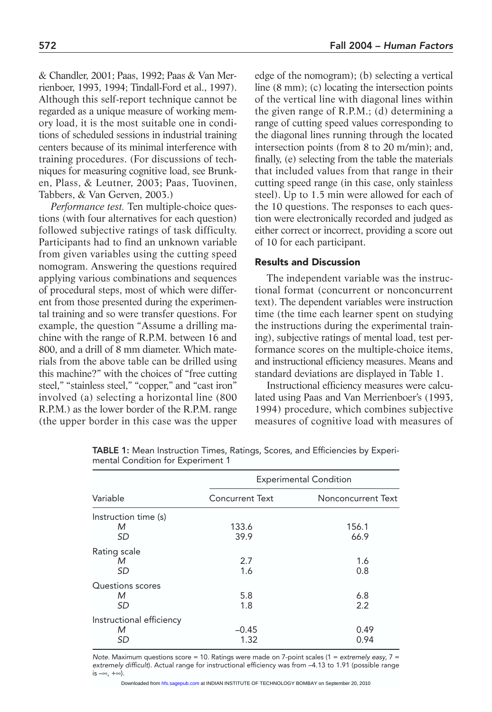& Chandler, 2001; Paas, 1992; Paas & Van Merrienboer, 1993, 1994; Tindall-Ford et al., 1997). Although this self-report technique cannot be regarded as a unique measure of working memory load, it is the most suitable one in conditions of scheduled sessions in industrial training centers because of its minimal interference with training procedures. (For discussions of techniques for measuring cognitive load, see Brunken, Plass, & Leutner, 2003; Paas, Tuovinen, Tabbers, & Van Gerven, 2003.)

*Performance test.* Ten multiple-choice questions (with four alternatives for each question) followed subjective ratings of task difficulty. Participants had to find an unknown variable from given variables using the cutting speed nomogram. Answering the questions required applying various combinations and sequences of procedural steps, most of which were different from those presented during the experimental training and so were transfer questions. For example, the question "Assume a drilling machine with the range of R.P.M. between 16 and 800, and a drill of 8 mm diameter. Which materials from the above table can be drilled using this machine?" with the choices of "free cutting steel," "stainless steel," "copper," and "cast iron" involved (a) selecting a horizontal line (800 R.P.M.) as the lower border of the R.P.M. range (the upper border in this case was the upper

edge of the nomogram); (b) selecting a vertical line (8 mm); (c) locating the intersection points of the vertical line with diagonal lines within the given range of R.P.M.; (d) determining a range of cutting speed values corresponding to the diagonal lines running through the located intersection points (from 8 to 20 m/min); and, finally, (e) selecting from the table the materials that included values from that range in their cutting speed range (in this case, only stainless steel). Up to 1.5 min were allowed for each of the 10 questions. The responses to each question were electronically recorded and judged as either correct or incorrect, providing a score out of 10 for each participant.

# Results and Discussion

The independent variable was the instructional format (concurrent or nonconcurrent text). The dependent variables were instruction time (the time each learner spent on studying the instructions during the experimental training), subjective ratings of mental load, test performance scores on the multiple-choice items, and instructional efficiency measures. Means and standard deviations are displayed in Table 1.

Instructional efficiency measures were calculated using Paas and Van Merrienboer's (1993, 1994) procedure, which combines subjective measures of cognitive load with measures of

| Variable                            | <b>Experimental Condition</b> |                    |
|-------------------------------------|-------------------------------|--------------------|
|                                     | <b>Concurrent Text</b>        | Nonconcurrent Text |
| Instruction time (s)<br>M<br>SD     | 133.6<br>39.9                 | 156.1<br>66.9      |
| Rating scale<br>M<br><b>SD</b>      | 2.7<br>1.6                    | 1.6<br>0.8         |
| Questions scores<br>M<br>SD         | 5.8<br>1.8                    | 6.8<br>2.2         |
| Instructional efficiency<br>М<br>SD | $-0.45$<br>1.32               | 0.49<br>0.94       |

TABLE 1: Mean Instruction Times, Ratings, Scores, and Efficiencies by Experimental Condition for Experiment 1

*Note.* Maximum questions score = 10. Ratings were made on 7-point scales (1 = *extremely easy*, 7 = *extremely difficult*). Actual range for instructional efficiency was from –4.13 to 1.91 (possible range is –∞, +∞).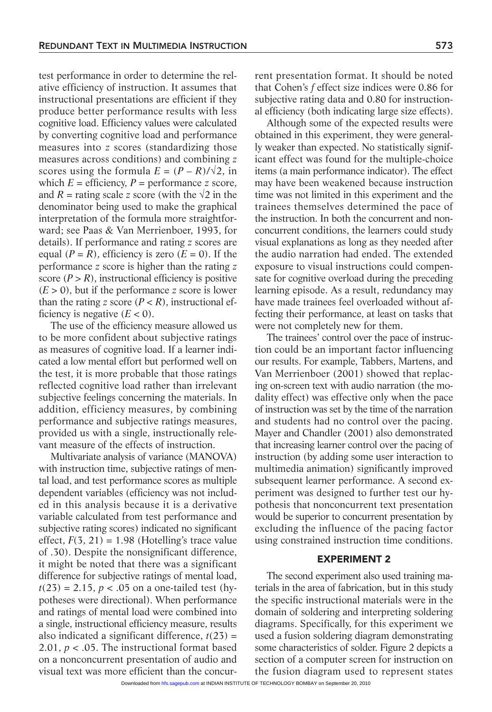test performance in order to determine the relative efficiency of instruction. It assumes that instructional presentations are efficient if they produce better performance results with less cognitive load. Efficiency values were calculated by converting cognitive load and performance measures into *z* scores (standardizing those measures across conditions) and combining *z* scores using the formula  $E = (P - R)/\sqrt{2}$ , in which  $E =$  efficiency,  $P =$  performance *z* score, and  $R =$  rating scale *z* score (with the  $\sqrt{2}$  in the denominator being used to make the graphical interpretation of the formula more straightforward; see Paas & Van Merrienboer, 1993, for details). If performance and rating *z* scores are equal  $(P = R)$ , efficiency is zero  $(E = 0)$ . If the performance *z* score is higher than the rating *z* score  $(P > R)$ , instructional efficiency is positive  $(E > 0)$ , but if the performance *z* score is lower than the rating *z* score  $(P < R)$ , instructional efficiency is negative  $(E < 0)$ .

The use of the efficiency measure allowed us to be more confident about subjective ratings as measures of cognitive load. If a learner indicated a low mental effort but performed well on the test, it is more probable that those ratings reflected cognitive load rather than irrelevant subjective feelings concerning the materials. In addition, efficiency measures, by combining performance and subjective ratings measures, provided us with a single, instructionally relevant measure of the effects of instruction.

Multivariate analysis of variance (MANOVA) with instruction time, subjective ratings of mental load, and test performance scores as multiple dependent variables (efficiency was not included in this analysis because it is a derivative variable calculated from test performance and subjective rating scores) indicated no significant effect,  $F(3, 21) = 1.98$  (Hotelling's trace value of .30). Despite the nonsignificant difference, it might be noted that there was a significant difference for subjective ratings of mental load,  $t(23) = 2.15$ ,  $p < .05$  on a one-tailed test (hypotheses were directional). When performance and ratings of mental load were combined into a single, instructional efficiency measure, results also indicated a significant difference,  $t(23) =$ 2.01, *p* < .05. The instructional format based on a nonconcurrent presentation of audio and visual text was more efficient than the concurrent presentation format. It should be noted that Cohen's *f* effect size indices were 0.86 for subjective rating data and 0.80 for instructional efficiency (both indicating large size effects).

Although some of the expected results were obtained in this experiment, they were generally weaker than expected. No statistically significant effect was found for the multiple-choice items (a main performance indicator). The effect may have been weakened because instruction time was not limited in this experiment and the trainees themselves determined the pace of the instruction. In both the concurrent and nonconcurrent conditions, the learners could study visual explanations as long as they needed after the audio narration had ended. The extended exposure to visual instructions could compensate for cognitive overload during the preceding learning episode. As a result, redundancy may have made trainees feel overloaded without affecting their performance, at least on tasks that were not completely new for them.

The trainees' control over the pace of instruction could be an important factor influencing our results. For example, Tabbers, Martens, and Van Merrienboer (2001) showed that replacing on-screen text with audio narration (the modality effect) was effective only when the pace of instruction was set by the time of the narration and students had no control over the pacing. Mayer and Chandler (2001) also demonstrated that increasing learner control over the pacing of instruction (by adding some user interaction to multimedia animation) significantly improved subsequent learner performance. A second experiment was designed to further test our hypothesis that nonconcurrent text presentation would be superior to concurrent presentation by excluding the influence of the pacing factor using constrained instruction time conditions.

# EXPERIMENT 2

The second experiment also used training materials in the area of fabrication, but in this study the specific instructional materials were in the domain of soldering and interpreting soldering diagrams. Specifically, for this experiment we used a fusion soldering diagram demonstrating some characteristics of solder. Figure 2 depicts a section of a computer screen for instruction on the fusion diagram used to represent states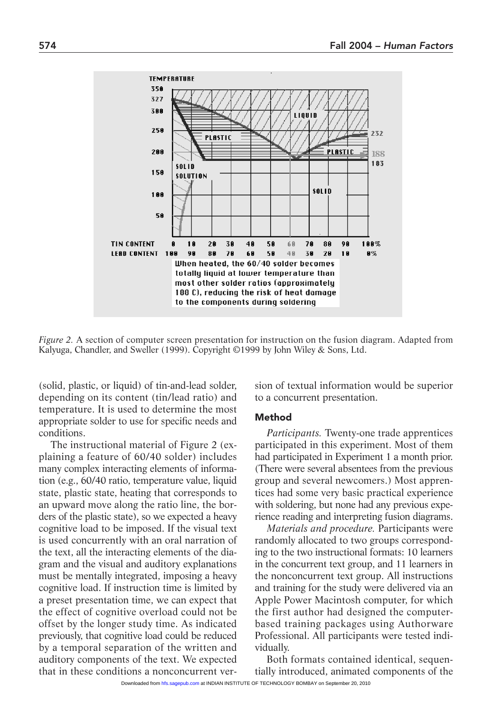

*Figure 2.* A section of computer screen presentation for instruction on the fusion diagram. Adapted from Kalyuga, Chandler, and Sweller (1999). Copyright ©1999 by John Wiley & Sons, Ltd.

(solid, plastic, or liquid) of tin-and-lead solder, depending on its content (tin/lead ratio) and temperature. It is used to determine the most appropriate solder to use for specific needs and conditions.

The instructional material of Figure 2 (explaining a feature of 60/40 solder) includes many complex interacting elements of information (e.g., 60/40 ratio, temperature value, liquid state, plastic state, heating that corresponds to an upward move along the ratio line, the borders of the plastic state), so we expected a heavy cognitive load to be imposed. If the visual text is used concurrently with an oral narration of the text, all the interacting elements of the diagram and the visual and auditory explanations must be mentally integrated, imposing a heavy cognitive load. If instruction time is limited by a preset presentation time, we can expect that the effect of cognitive overload could not be offset by the longer study time. As indicated previously, that cognitive load could be reduced by a temporal separation of the written and auditory components of the text. We expected that in these conditions a nonconcurrent version of textual information would be superior to a concurrent presentation.

#### Method

*Participants.* Twenty-one trade apprentices participated in this experiment. Most of them had participated in Experiment 1 a month prior. (There were several absentees from the previous group and several newcomers.) Most apprentices had some very basic practical experience with soldering, but none had any previous experience reading and interpreting fusion diagrams.

*Materials and procedure.* Participants were randomly allocated to two groups corresponding to the two instructional formats: 10 learners in the concurrent text group, and 11 learners in the nonconcurrent text group. All instructions and training for the study were delivered via an Apple Power Macintosh computer, for which the first author had designed the computerbased training packages using Authorware Professional. All participants were tested individually.

Both formats contained identical, sequentially introduced, animated components of the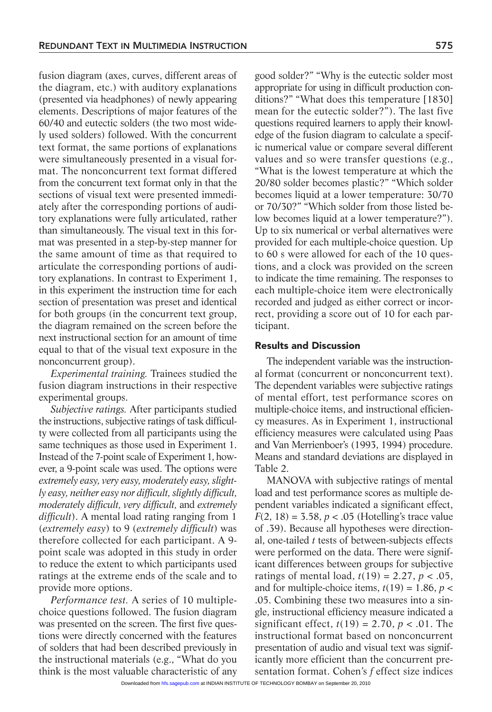fusion diagram (axes, curves, different areas of the diagram, etc.) with auditory explanations (presented via headphones) of newly appearing elements. Descriptions of major features of the 60/40 and eutectic solders (the two most widely used solders) followed. With the concurrent text format, the same portions of explanations were simultaneously presented in a visual format. The nonconcurrent text format differed from the concurrent text format only in that the sections of visual text were presented immediately after the corresponding portions of auditory explanations were fully articulated, rather than simultaneously. The visual text in this format was presented in a step-by-step manner for the same amount of time as that required to articulate the corresponding portions of auditory explanations. In contrast to Experiment 1, in this experiment the instruction time for each section of presentation was preset and identical for both groups (in the concurrent text group, the diagram remained on the screen before the next instructional section for an amount of time equal to that of the visual text exposure in the nonconcurrent group).

*Experimental training.* Trainees studied the fusion diagram instructions in their respective experimental groups.

*Subjective ratings.* After participants studied the instructions, subjective ratings of task difficulty were collected from all participants using the same techniques as those used in Experiment 1. Instead of the 7-point scale of Experiment 1, however, a 9-point scale was used. The options were *extremely easy, very easy, moderately easy, slightly easy, neither easy nor difficult, slightly difficult, moderately difficult, very difficult,* and *extremely difficult*). A mental load rating ranging from 1 (*extremely easy*) to 9 (*extremely difficult*) was therefore collected for each participant. A 9 point scale was adopted in this study in order to reduce the extent to which participants used ratings at the extreme ends of the scale and to provide more options.

*Performance test.* A series of 10 multiplechoice questions followed. The fusion diagram was presented on the screen. The first five questions were directly concerned with the features of solders that had been described previously in the instructional materials (e.g., "What do you think is the most valuable characteristic of any good solder?" "Why is the eutectic solder most appropriate for using in difficult production conditions?" "What does this temperature [1830] mean for the eutectic solder?"). The last five questions required learners to apply their knowledge of the fusion diagram to calculate a specific numerical value or compare several different values and so were transfer questions (e.g., "What is the lowest temperature at which the 20/80 solder becomes plastic?" "Which solder becomes liquid at a lower temperature: 30/70 or 70/30?" "Which solder from those listed below becomes liquid at a lower temperature?"). Up to six numerical or verbal alternatives were provided for each multiple-choice question. Up to 60 s were allowed for each of the 10 questions, and a clock was provided on the screen to indicate the time remaining. The responses to each multiple-choice item were electronically recorded and judged as either correct or incorrect, providing a score out of 10 for each participant.

# Results and Discussion

The independent variable was the instructional format (concurrent or nonconcurrent text). The dependent variables were subjective ratings of mental effort, test performance scores on multiple-choice items, and instructional efficiency measures. As in Experiment 1, instructional efficiency measures were calculated using Paas and Van Merrienboer's (1993, 1994) procedure. Means and standard deviations are displayed in Table 2.

MANOVA with subjective ratings of mental load and test performance scores as multiple dependent variables indicated a significant effect,  $F(2, 18) = 3.58$ ,  $p < .05$  (Hotelling's trace value of .39). Because all hypotheses were directional, one-tailed *t* tests of between-subjects effects were performed on the data. There were significant differences between groups for subjective ratings of mental load,  $t(19) = 2.27$ ,  $p < .05$ , and for multiple-choice items,  $t(19) = 1.86$ ,  $p <$ .05. Combining these two measures into a single, instructional efficiency measure indicated a significant effect,  $t(19) = 2.70$ ,  $p < .01$ . The instructional format based on nonconcurrent presentation of audio and visual text was significantly more efficient than the concurrent presentation format. Cohen's *f* effect size indices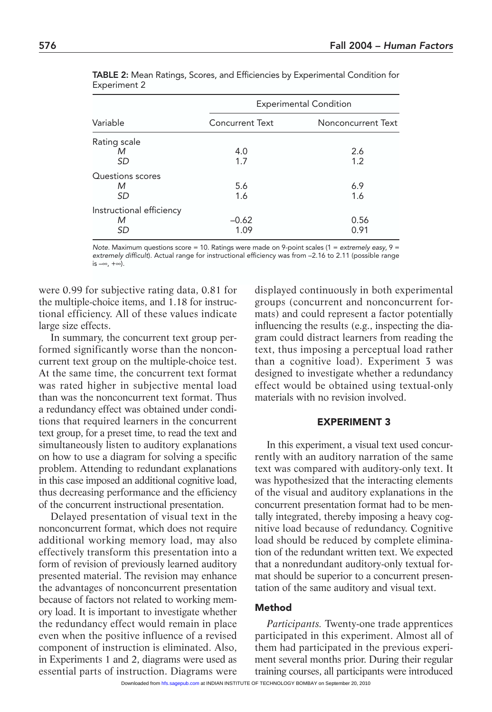| Variable                 | <b>Experimental Condition</b> |                    |
|--------------------------|-------------------------------|--------------------|
|                          | <b>Concurrent Text</b>        | Nonconcurrent Text |
| Rating scale             |                               |                    |
| М                        | 4.0                           | 2.6                |
| SD                       | 1.7                           | 1.2                |
| Questions scores         |                               |                    |
| M                        | 5.6                           | 6.9                |
| SD                       | 1.6                           | 1.6                |
| Instructional efficiency |                               |                    |
| M                        | $-0.62$                       | 0.56               |
| SD                       | 1.09                          | 0.91               |

TABLE 2: Mean Ratings, Scores, and Efficiencies by Experimental Condition for Experiment 2

*Note.* Maximum questions score = 10. Ratings were made on 9-point scales (1 = *extremely easy*, 9 = *extremely difficult*). Actual range for instructional efficiency was from –2.16 to 2.11 (possible range is –∞, +∞).

were 0.99 for subjective rating data, 0.81 for the multiple-choice items, and 1.18 for instructional efficiency. All of these values indicate large size effects.

In summary, the concurrent text group performed significantly worse than the nonconcurrent text group on the multiple-choice test. At the same time, the concurrent text format was rated higher in subjective mental load than was the nonconcurrent text format. Thus a redundancy effect was obtained under conditions that required learners in the concurrent text group, for a preset time, to read the text and simultaneously listen to auditory explanations on how to use a diagram for solving a specific problem. Attending to redundant explanations in this case imposed an additional cognitive load, thus decreasing performance and the efficiency of the concurrent instructional presentation.

Delayed presentation of visual text in the nonconcurrent format, which does not require additional working memory load, may also effectively transform this presentation into a form of revision of previously learned auditory presented material. The revision may enhance the advantages of nonconcurrent presentation because of factors not related to working memory load. It is important to investigate whether the redundancy effect would remain in place even when the positive influence of a revised component of instruction is eliminated. Also, in Experiments 1 and 2, diagrams were used as essential parts of instruction. Diagrams were displayed continuously in both experimental groups (concurrent and nonconcurrent formats) and could represent a factor potentially influencing the results (e.g., inspecting the diagram could distract learners from reading the text, thus imposing a perceptual load rather than a cognitive load). Experiment 3 was designed to investigate whether a redundancy effect would be obtained using textual-only materials with no revision involved.

# EXPERIMENT 3

In this experiment, a visual text used concurrently with an auditory narration of the same text was compared with auditory-only text. It was hypothesized that the interacting elements of the visual and auditory explanations in the concurrent presentation format had to be mentally integrated, thereby imposing a heavy cognitive load because of redundancy. Cognitive load should be reduced by complete elimination of the redundant written text. We expected that a nonredundant auditory-only textual format should be superior to a concurrent presentation of the same auditory and visual text.

#### Method

*Participants.* Twenty-one trade apprentices participated in this experiment. Almost all of them had participated in the previous experiment several months prior. During their regular training courses, all participants were introduced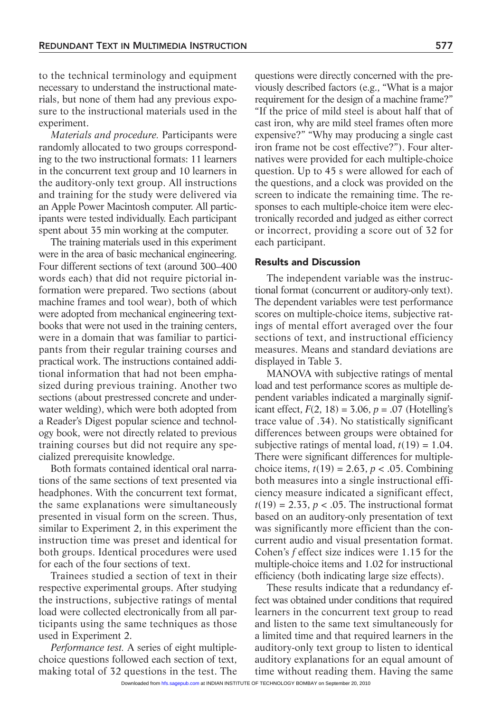to the technical terminology and equipment necessary to understand the instructional materials, but none of them had any previous exposure to the instructional materials used in the experiment.

*Materials and procedure.* Participants were randomly allocated to two groups corresponding to the two instructional formats: 11 learners in the concurrent text group and 10 learners in the auditory-only text group. All instructions and training for the study were delivered via an Apple Power Macintosh computer. All participants were tested individually. Each participant spent about 35 min working at the computer.

The training materials used in this experiment were in the area of basic mechanical engineering. Four different sections of text (around 300–400 words each) that did not require pictorial information were prepared. Two sections (about machine frames and tool wear), both of which were adopted from mechanical engineering textbooks that were not used in the training centers, were in a domain that was familiar to participants from their regular training courses and practical work. The instructions contained additional information that had not been emphasized during previous training. Another two sections (about prestressed concrete and underwater welding), which were both adopted from a Reader's Digest popular science and technology book, were not directly related to previous training courses but did not require any specialized prerequisite knowledge.

Both formats contained identical oral narrations of the same sections of text presented via headphones. With the concurrent text format, the same explanations were simultaneously presented in visual form on the screen. Thus, similar to Experiment 2, in this experiment the instruction time was preset and identical for both groups. Identical procedures were used for each of the four sections of text.

Trainees studied a section of text in their respective experimental groups. After studying the instructions, subjective ratings of mental load were collected electronically from all participants using the same techniques as those used in Experiment 2.

*Performance test.* A series of eight multiplechoice questions followed each section of text, making total of 32 questions in the test. The

questions were directly concerned with the previously described factors (e.g., "What is a major requirement for the design of a machine frame?" "If the price of mild steel is about half that of cast iron, why are mild steel frames often more expensive?" "Why may producing a single cast iron frame not be cost effective?"). Four alternatives were provided for each multiple-choice question. Up to 45 s were allowed for each of the questions, and a clock was provided on the screen to indicate the remaining time. The responses to each multiple-choice item were electronically recorded and judged as either correct or incorrect, providing a score out of 32 for each participant.

# Results and Discussion

The independent variable was the instructional format (concurrent or auditory-only text). The dependent variables were test performance scores on multiple-choice items, subjective ratings of mental effort averaged over the four sections of text, and instructional efficiency measures. Means and standard deviations are displayed in Table 3.

MANOVA with subjective ratings of mental load and test performance scores as multiple dependent variables indicated a marginally significant effect,  $F(2, 18) = 3.06$ ,  $p = .07$  (Hotelling's trace value of .34). No statistically significant differences between groups were obtained for subjective ratings of mental load,  $t(19) = 1.04$ . There were significant differences for multiplechoice items,  $t(19) = 2.63$ ,  $p < .05$ . Combining both measures into a single instructional efficiency measure indicated a significant effect,  $t(19) = 2.33$ ,  $p < .05$ . The instructional format based on an auditory-only presentation of text was significantly more efficient than the concurrent audio and visual presentation format. Cohen's *f* effect size indices were 1.15 for the multiple-choice items and 1.02 for instructional efficiency (both indicating large size effects).

These results indicate that a redundancy effect was obtained under conditions that required learners in the concurrent text group to read and listen to the same text simultaneously for a limited time and that required learners in the auditory-only text group to listen to identical auditory explanations for an equal amount of time without reading them. Having the same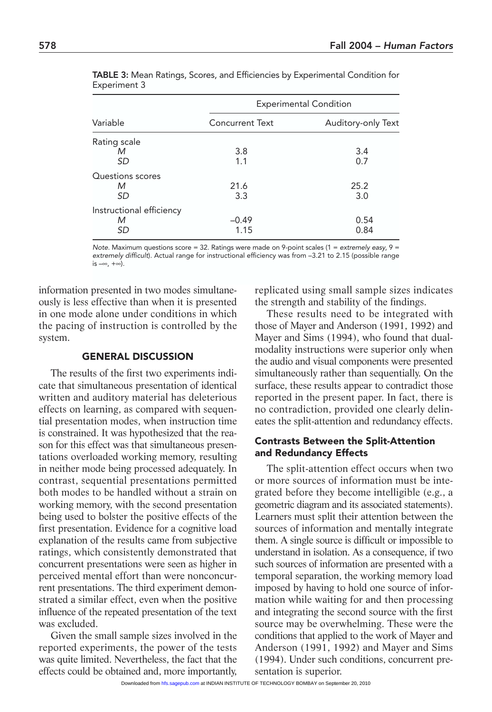| Variable                 | <b>Experimental Condition</b> |                    |
|--------------------------|-------------------------------|--------------------|
|                          | <b>Concurrent Text</b>        | Auditory-only Text |
| Rating scale             |                               |                    |
| М                        | 3.8                           | 3.4                |
| SD                       | 1.1                           | 0.7                |
| Questions scores         |                               |                    |
| М                        | 21.6                          | 25.2               |
| SD                       | 3.3                           | 3.0                |
| Instructional efficiency |                               |                    |
| М                        | $-0.49$                       | 0.54               |
| SD                       | 1.15                          | 0.84               |

TABLE 3: Mean Ratings, Scores, and Efficiencies by Experimental Condition for Experiment 3

*Note.* Maximum questions score = 32. Ratings were made on 9-point scales (1 = *extremely easy*, 9 = *extremely difficult*). Actual range for instructional efficiency was from –3.21 to 2.15 (possible range is –∞, +∞).

information presented in two modes simultaneously is less effective than when it is presented in one mode alone under conditions in which the pacing of instruction is controlled by the system.

# GENERAL DISCUSSION

The results of the first two experiments indicate that simultaneous presentation of identical written and auditory material has deleterious effects on learning, as compared with sequential presentation modes, when instruction time is constrained. It was hypothesized that the reason for this effect was that simultaneous presentations overloaded working memory, resulting in neither mode being processed adequately. In contrast, sequential presentations permitted both modes to be handled without a strain on working memory, with the second presentation being used to bolster the positive effects of the first presentation. Evidence for a cognitive load explanation of the results came from subjective ratings, which consistently demonstrated that concurrent presentations were seen as higher in perceived mental effort than were nonconcurrent presentations. The third experiment demonstrated a similar effect, even when the positive influence of the repeated presentation of the text was excluded.

Given the small sample sizes involved in the reported experiments, the power of the tests was quite limited. Nevertheless, the fact that the effects could be obtained and, more importantly, replicated using small sample sizes indicates the strength and stability of the findings.

These results need to be integrated with those of Mayer and Anderson (1991, 1992) and Mayer and Sims (1994), who found that dualmodality instructions were superior only when the audio and visual components were presented simultaneously rather than sequentially. On the surface, these results appear to contradict those reported in the present paper. In fact, there is no contradiction, provided one clearly delineates the split-attention and redundancy effects.

# Contrasts Between the Split-Attention and Redundancy Effects

The split-attention effect occurs when two or more sources of information must be integrated before they become intelligible (e.g., a geometric diagram and its associated statements). Learners must split their attention between the sources of information and mentally integrate them. A single source is difficult or impossible to understand in isolation. As a consequence, if two such sources of information are presented with a temporal separation, the working memory load imposed by having to hold one source of information while waiting for and then processing and integrating the second source with the first source may be overwhelming. These were the conditions that applied to the work of Mayer and Anderson (1991, 1992) and Mayer and Sims (1994). Under such conditions, concurrent presentation is superior.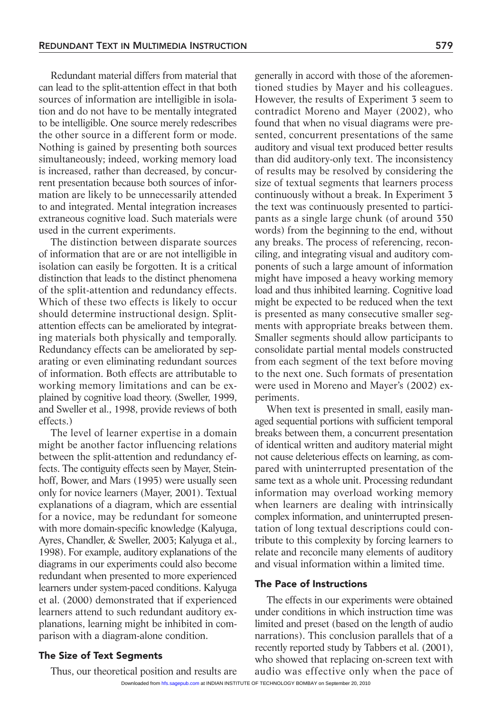Redundant material differs from material that can lead to the split-attention effect in that both sources of information are intelligible in isolation and do not have to be mentally integrated to be intelligible. One source merely redescribes the other source in a different form or mode. Nothing is gained by presenting both sources simultaneously; indeed, working memory load is increased, rather than decreased, by concurrent presentation because both sources of information are likely to be unnecessarily attended to and integrated. Mental integration increases extraneous cognitive load. Such materials were used in the current experiments.

The distinction between disparate sources of information that are or are not intelligible in isolation can easily be forgotten. It is a critical distinction that leads to the distinct phenomena of the split-attention and redundancy effects. Which of these two effects is likely to occur should determine instructional design. Splitattention effects can be ameliorated by integrating materials both physically and temporally. Redundancy effects can be ameliorated by separating or even eliminating redundant sources of information. Both effects are attributable to working memory limitations and can be explained by cognitive load theory. (Sweller, 1999, and Sweller et al., 1998, provide reviews of both effects.)

The level of learner expertise in a domain might be another factor influencing relations between the split-attention and redundancy effects. The contiguity effects seen by Mayer, Steinhoff, Bower, and Mars (1995) were usually seen only for novice learners (Mayer, 2001). Textual explanations of a diagram, which are essential for a novice, may be redundant for someone with more domain-specific knowledge (Kalyuga, Ayres, Chandler, & Sweller, 2003; Kalyuga et al., 1998). For example, auditory explanations of the diagrams in our experiments could also become redundant when presented to more experienced learners under system-paced conditions. Kalyuga et al. (2000) demonstrated that if experienced learners attend to such redundant auditory explanations, learning might be inhibited in comparison with a diagram-alone condition.

# The Size of Text Segments

Thus, our theoretical position and results are

generally in accord with those of the aforementioned studies by Mayer and his colleagues. However, the results of Experiment 3 seem to contradict Moreno and Mayer (2002), who found that when no visual diagrams were presented, concurrent presentations of the same auditory and visual text produced better results than did auditory-only text. The inconsistency of results may be resolved by considering the size of textual segments that learners process continuously without a break. In Experiment 3 the text was continuously presented to participants as a single large chunk (of around 350 words) from the beginning to the end, without any breaks. The process of referencing, reconciling, and integrating visual and auditory components of such a large amount of information might have imposed a heavy working memory load and thus inhibited learning. Cognitive load might be expected to be reduced when the text is presented as many consecutive smaller segments with appropriate breaks between them. Smaller segments should allow participants to consolidate partial mental models constructed from each segment of the text before moving to the next one. Such formats of presentation were used in Moreno and Mayer's (2002) experiments.

When text is presented in small, easily managed sequential portions with sufficient temporal breaks between them, a concurrent presentation of identical written and auditory material might not cause deleterious effects on learning, as compared with uninterrupted presentation of the same text as a whole unit. Processing redundant information may overload working memory when learners are dealing with intrinsically complex information, and uninterrupted presentation of long textual descriptions could contribute to this complexity by forcing learners to relate and reconcile many elements of auditory and visual information within a limited time.

#### The Pace of Instructions

The effects in our experiments were obtained under conditions in which instruction time was limited and preset (based on the length of audio narrations). This conclusion parallels that of a recently reported study by Tabbers et al. (2001), who showed that replacing on-screen text with audio was effective only when the pace of

Downloaded from [hfs.sagepub.com](http://hfs.sagepub.com/) at INDIAN INSTITUTE OF TECHNOLOGY BOMBAY on September 20, 2010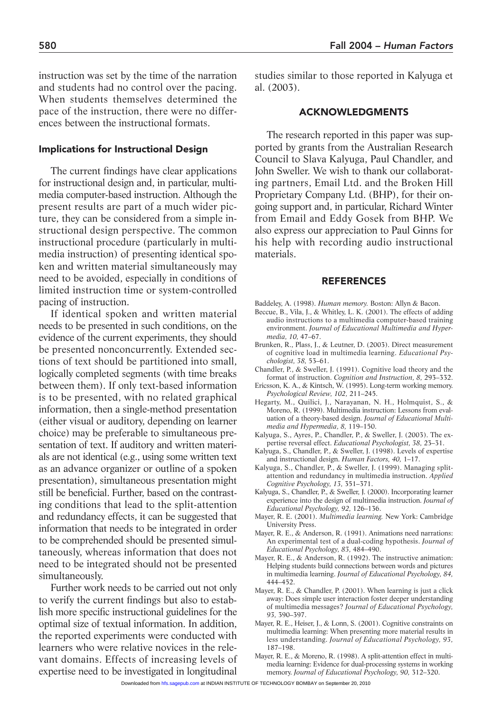instruction was set by the time of the narration and students had no control over the pacing. When students themselves determined the pace of the instruction, there were no differences between the instructional formats.

#### Implications for Instructional Design

The current findings have clear applications for instructional design and, in particular, multimedia computer-based instruction. Although the present results are part of a much wider picture, they can be considered from a simple instructional design perspective. The common instructional procedure (particularly in multimedia instruction) of presenting identical spoken and written material simultaneously may need to be avoided, especially in conditions of limited instruction time or system-controlled pacing of instruction.

If identical spoken and written material needs to be presented in such conditions, on the evidence of the current experiments, they should be presented nonconcurrently. Extended sections of text should be partitioned into small, logically completed segments (with time breaks between them). If only text-based information is to be presented, with no related graphical information, then a single-method presentation (either visual or auditory, depending on learner choice) may be preferable to simultaneous presentation of text. If auditory and written materials are not identical (e.g., using some written text as an advance organizer or outline of a spoken presentation), simultaneous presentation might still be beneficial. Further, based on the contrasting conditions that lead to the split-attention and redundancy effects, it can be suggested that information that needs to be integrated in order to be comprehended should be presented simultaneously, whereas information that does not need to be integrated should not be presented simultaneously.

Further work needs to be carried out not only to verify the current findings but also to establish more specific instructional guidelines for the optimal size of textual information. In addition, the reported experiments were conducted with learners who were relative novices in the relevant domains. Effects of increasing levels of expertise need to be investigated in longitudinal

studies similar to those reported in Kalyuga et al. (2003).

#### ACKNOWLEDGMENTS

The research reported in this paper was supported by grants from the Australian Research Council to Slava Kalyuga, Paul Chandler, and John Sweller. We wish to thank our collaborating partners, Email Ltd. and the Broken Hill Proprietary Company Ltd. (BHP), for their ongoing support and, in particular, Richard Winter from Email and Eddy Gosek from BHP. We also express our appreciation to Paul Ginns for his help with recording audio instructional materials.

#### REFERENCES

- Baddeley, A. (1998). *Human memory.* Boston: Allyn & Bacon.
- Beccue, B., Vila, J., & Whitley, L. K. (2001). The effects of adding audio instructions to a multimedia computer-based training environment. *Journal of Educational Multimedia and Hypermedia, 10,* 47–67.
- Brunken, R., Plass, J., & Leutner, D. (2003). Direct measurement of cognitive load in multimedia learning. *Educational Psychologist, 38,* 53–61.
- Chandler, P., & Sweller, J. (1991). Cognitive load theory and the format of instruction. *Cognition and Instruction, 8,* 293–332.
- Ericsson, K. A., & Kintsch, W. (1995). Long-term working memory. *Psychological Review, 102,* 211–245.
- Hegarty, M., Quilici, J., Narayanan, N. H., Holmquist, S., & Moreno, R. (1999). Multimedia instruction: Lessons from evaluation of a theory-based design. *Journal of Educational Multimedia and Hypermedia, 8,* 119–150.
- Kalyuga, S., Ayres, P., Chandler, P., & Sweller, J. (2003). The expertise reversal effect. *Educational Psychologist, 38,* 23–31.
- Kalyuga, S., Chandler, P., & Sweller, J. (1998). Levels of expertise and instructional design. *Human Factors, 40,* 1–17.
- Kalyuga, S., Chandler, P., & Sweller, J. (1999). Managing splitattention and redundancy in multimedia instruction. *Applied Cognitive Psychology, 13,* 351–371.
- Kalyuga, S., Chandler, P., & Sweller, J. (2000). Incorporating learner experience into the design of multimedia instruction. *Journal of Educational Psychology, 92,* 126–136.
- Mayer, R. E. (2001). *Multimedia learning.* New York: Cambridge University Press.
- Mayer, R. E., & Anderson, R. (1991). Animations need narrations: An experimental test of a dual-coding hypothesis. *Journal of Educational Psychology, 83,* 484–490.
- Mayer, R. E., & Anderson, R. (1992). The instructive animation: Helping students build connections between words and pictures in multimedia learning. *Journal of Educational Psychology, 84,* 444–452.
- Mayer, R. E., & Chandler, P. (2001). When learning is just a click away: Does simple user interaction foster deeper understanding of multimedia messages? *Journal of Educational Psychology, 93,* 390–397.
- Mayer, R. E., Heiser, J., & Lonn, S. (2001). Cognitive constraints on multimedia learning: When presenting more material results in less understanding. *Journal of Educational Psychology, 93,* 187–198.
- Mayer, R. E., & Moreno, R. (1998). A split-attention effect in multimedia learning: Evidence for dual-processing systems in working memory. *Journal of Educational Psychology, 90,* 312–320.